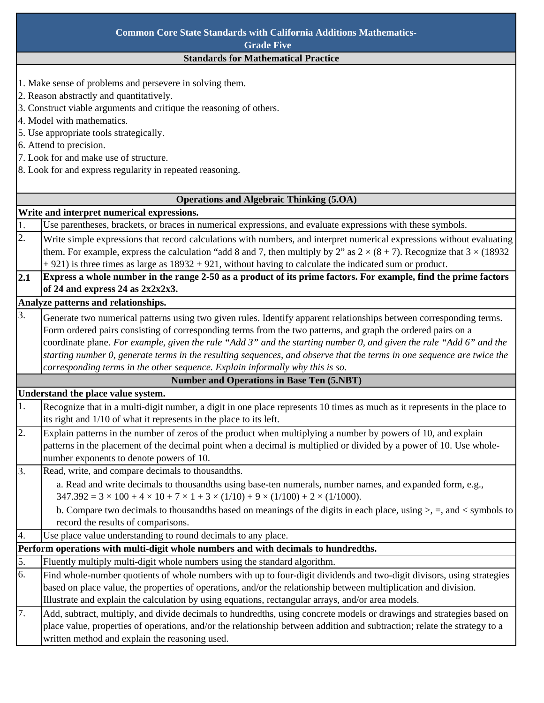| <b>Common Core State Standards with California Additions Mathematics-</b> |                                                                                                                                                                                                                                     |  |  |
|---------------------------------------------------------------------------|-------------------------------------------------------------------------------------------------------------------------------------------------------------------------------------------------------------------------------------|--|--|
|                                                                           | <b>Grade Five</b>                                                                                                                                                                                                                   |  |  |
|                                                                           | <b>Standards for Mathematical Practice</b>                                                                                                                                                                                          |  |  |
|                                                                           | 1. Make sense of problems and persevere in solving them.                                                                                                                                                                            |  |  |
|                                                                           | 2. Reason abstractly and quantitatively.                                                                                                                                                                                            |  |  |
| 3. Construct viable arguments and critique the reasoning of others.       |                                                                                                                                                                                                                                     |  |  |
|                                                                           | 4. Model with mathematics.                                                                                                                                                                                                          |  |  |
|                                                                           | 5. Use appropriate tools strategically.                                                                                                                                                                                             |  |  |
|                                                                           | 6. Attend to precision.                                                                                                                                                                                                             |  |  |
|                                                                           | 7. Look for and make use of structure.                                                                                                                                                                                              |  |  |
|                                                                           | 8. Look for and express regularity in repeated reasoning.                                                                                                                                                                           |  |  |
|                                                                           |                                                                                                                                                                                                                                     |  |  |
|                                                                           | <b>Operations and Algebraic Thinking (5.OA)</b>                                                                                                                                                                                     |  |  |
|                                                                           | Write and interpret numerical expressions.                                                                                                                                                                                          |  |  |
| 1.                                                                        | Use parentheses, brackets, or braces in numerical expressions, and evaluate expressions with these symbols.                                                                                                                         |  |  |
| 2.                                                                        | Write simple expressions that record calculations with numbers, and interpret numerical expressions without evaluating                                                                                                              |  |  |
|                                                                           | them. For example, express the calculation "add 8 and 7, then multiply by 2" as $2 \times (8 + 7)$ . Recognize that $3 \times (18932)$                                                                                              |  |  |
|                                                                           | $+921$ ) is three times as large as $18932 + 921$ , without having to calculate the indicated sum or product.                                                                                                                       |  |  |
| 2.1                                                                       | Express a whole number in the range 2-50 as a product of its prime factors. For example, find the prime factors<br>of 24 and express 24 as 2x2x2x3.                                                                                 |  |  |
|                                                                           | Analyze patterns and relationships.                                                                                                                                                                                                 |  |  |
| 3.                                                                        |                                                                                                                                                                                                                                     |  |  |
|                                                                           | Generate two numerical patterns using two given rules. Identify apparent relationships between corresponding terms.<br>Form ordered pairs consisting of corresponding terms from the two patterns, and graph the ordered pairs on a |  |  |
|                                                                           | coordinate plane. For example, given the rule "Add 3" and the starting number 0, and given the rule "Add 6" and the                                                                                                                 |  |  |
|                                                                           | starting number 0, generate terms in the resulting sequences, and observe that the terms in one sequence are twice the                                                                                                              |  |  |
|                                                                           | corresponding terms in the other sequence. Explain informally why this is so.                                                                                                                                                       |  |  |
|                                                                           | <b>Number and Operations in Base Ten (5.NBT)</b>                                                                                                                                                                                    |  |  |
|                                                                           | Understand the place value system.                                                                                                                                                                                                  |  |  |
| 1.                                                                        | Recognize that in a multi-digit number, a digit in one place represents 10 times as much as it represents in the place to                                                                                                           |  |  |
|                                                                           | its right and 1/10 of what it represents in the place to its left.                                                                                                                                                                  |  |  |
| 2.                                                                        | Explain patterns in the number of zeros of the product when multiplying a number by powers of 10, and explain                                                                                                                       |  |  |
|                                                                           | patterns in the placement of the decimal point when a decimal is multiplied or divided by a power of 10. Use whole-                                                                                                                 |  |  |
|                                                                           | number exponents to denote powers of 10.                                                                                                                                                                                            |  |  |
| 3.                                                                        | Read, write, and compare decimals to thousandths.                                                                                                                                                                                   |  |  |
|                                                                           | a. Read and write decimals to thousandths using base-ten numerals, number names, and expanded form, e.g.,                                                                                                                           |  |  |
|                                                                           | $347.392 = 3 \times 100 + 4 \times 10 + 7 \times 1 + 3 \times (1/10) + 9 \times (1/100) + 2 \times (1/1000)$ .                                                                                                                      |  |  |
|                                                                           | b. Compare two decimals to thousandths based on meanings of the digits in each place, using $>$ , =, and < symbols to                                                                                                               |  |  |
|                                                                           | record the results of comparisons.                                                                                                                                                                                                  |  |  |
| 4.                                                                        | Use place value understanding to round decimals to any place.                                                                                                                                                                       |  |  |
|                                                                           | Perform operations with multi-digit whole numbers and with decimals to hundredths.                                                                                                                                                  |  |  |
| 5.                                                                        | Fluently multiply multi-digit whole numbers using the standard algorithm.                                                                                                                                                           |  |  |
| 6.                                                                        | Find whole-number quotients of whole numbers with up to four-digit dividends and two-digit divisors, using strategies                                                                                                               |  |  |
|                                                                           | based on place value, the properties of operations, and/or the relationship between multiplication and division.                                                                                                                    |  |  |
|                                                                           | Illustrate and explain the calculation by using equations, rectangular arrays, and/or area models.                                                                                                                                  |  |  |
| 7.                                                                        | Add, subtract, multiply, and divide decimals to hundredths, using concrete models or drawings and strategies based on                                                                                                               |  |  |
|                                                                           | place value, properties of operations, and/or the relationship between addition and subtraction; relate the strategy to a                                                                                                           |  |  |
|                                                                           | written method and explain the reasoning used.                                                                                                                                                                                      |  |  |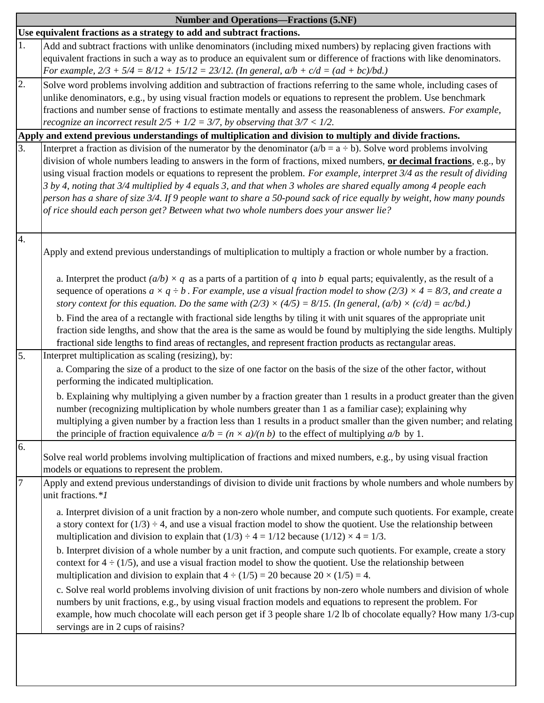|                                                                       | <b>Number and Operations—Fractions (5.NF)</b>                                                                                                                                                                                                                                                                                                                                                                                                                                                                                                                                                                                                                                                                  |  |  |  |
|-----------------------------------------------------------------------|----------------------------------------------------------------------------------------------------------------------------------------------------------------------------------------------------------------------------------------------------------------------------------------------------------------------------------------------------------------------------------------------------------------------------------------------------------------------------------------------------------------------------------------------------------------------------------------------------------------------------------------------------------------------------------------------------------------|--|--|--|
| Use equivalent fractions as a strategy to add and subtract fractions. |                                                                                                                                                                                                                                                                                                                                                                                                                                                                                                                                                                                                                                                                                                                |  |  |  |
| 1.                                                                    | Add and subtract fractions with unlike denominators (including mixed numbers) by replacing given fractions with<br>equivalent fractions in such a way as to produce an equivalent sum or difference of fractions with like denominators.<br>For example, $2/3 + 5/4 = 8/12 + 15/12 = 23/12$ . (In general, $a/b + c/d = (ad + bc)/bd$ .)                                                                                                                                                                                                                                                                                                                                                                       |  |  |  |
| 2.                                                                    | Solve word problems involving addition and subtraction of fractions referring to the same whole, including cases of<br>unlike denominators, e.g., by using visual fraction models or equations to represent the problem. Use benchmark<br>fractions and number sense of fractions to estimate mentally and assess the reasonableness of answers. For example,<br>recognize an incorrect result $2/5 + 1/2 = 3/7$ , by observing that $3/7 < 1/2$ .                                                                                                                                                                                                                                                             |  |  |  |
|                                                                       | Apply and extend previous understandings of multiplication and division to multiply and divide fractions.                                                                                                                                                                                                                                                                                                                                                                                                                                                                                                                                                                                                      |  |  |  |
| 3.                                                                    | Interpret a fraction as division of the numerator by the denominator $(a/b = a \div b)$ . Solve word problems involving<br>division of whole numbers leading to answers in the form of fractions, mixed numbers, or decimal fractions, e.g., by<br>using visual fraction models or equations to represent the problem. For example, interpret 3/4 as the result of dividing<br>3 by 4, noting that 3/4 multiplied by 4 equals 3, and that when 3 wholes are shared equally among 4 people each<br>person has a share of size 3/4. If 9 people want to share a 50-pound sack of rice equally by weight, how many pounds<br>of rice should each person get? Between what two whole numbers does your answer lie? |  |  |  |
| 4.                                                                    | Apply and extend previous understandings of multiplication to multiply a fraction or whole number by a fraction.                                                                                                                                                                                                                                                                                                                                                                                                                                                                                                                                                                                               |  |  |  |
|                                                                       | a. Interpret the product $(a/b) \times q$ as a parts of a partition of q into b equal parts; equivalently, as the result of a<br>sequence of operations $a \times q \div b$ . For example, use a visual fraction model to show (2/3) $\times$ 4 = 8/3, and create a<br>story context for this equation. Do the same with $(2/3) \times (4/5) = 8/15$ . (In general, $(a/b) \times (c/d) = ac/bd$ .)<br>b. Find the area of a rectangle with fractional side lengths by tiling it with unit squares of the appropriate unit<br>fraction side lengths, and show that the area is the same as would be found by multiplying the side lengths. Multiply                                                            |  |  |  |
|                                                                       | fractional side lengths to find areas of rectangles, and represent fraction products as rectangular areas.                                                                                                                                                                                                                                                                                                                                                                                                                                                                                                                                                                                                     |  |  |  |
| 5.                                                                    | Interpret multiplication as scaling (resizing), by:<br>a. Comparing the size of a product to the size of one factor on the basis of the size of the other factor, without<br>performing the indicated multiplication.<br>b. Explaining why multiplying a given number by a fraction greater than 1 results in a product greater than the given<br>number (recognizing multiplication by whole numbers greater than 1 as a familiar case); explaining why<br>multiplying a given number by a fraction less than 1 results in a product smaller than the given number; and relating                                                                                                                              |  |  |  |
|                                                                       | the principle of fraction equivalence $a/b = (n \times a)/(n b)$ to the effect of multiplying $a/b$ by 1.                                                                                                                                                                                                                                                                                                                                                                                                                                                                                                                                                                                                      |  |  |  |
| 6.                                                                    | Solve real world problems involving multiplication of fractions and mixed numbers, e.g., by using visual fraction<br>models or equations to represent the problem.                                                                                                                                                                                                                                                                                                                                                                                                                                                                                                                                             |  |  |  |
| $\overline{7}$                                                        | Apply and extend previous understandings of division to divide unit fractions by whole numbers and whole numbers by<br>unit fractions.*1                                                                                                                                                                                                                                                                                                                                                                                                                                                                                                                                                                       |  |  |  |
|                                                                       | a. Interpret division of a unit fraction by a non-zero whole number, and compute such quotients. For example, create<br>a story context for $(1/3) \div 4$ , and use a visual fraction model to show the quotient. Use the relationship between<br>multiplication and division to explain that $(1/3) \div 4 = 1/12$ because $(1/12) \times 4 = 1/3$ .                                                                                                                                                                                                                                                                                                                                                         |  |  |  |
|                                                                       | b. Interpret division of a whole number by a unit fraction, and compute such quotients. For example, create a story<br>context for $4 \div (1/5)$ , and use a visual fraction model to show the quotient. Use the relationship between<br>multiplication and division to explain that $4 \div (1/5) = 20$ because $20 \times (1/5) = 4$ .                                                                                                                                                                                                                                                                                                                                                                      |  |  |  |
|                                                                       | c. Solve real world problems involving division of unit fractions by non-zero whole numbers and division of whole<br>numbers by unit fractions, e.g., by using visual fraction models and equations to represent the problem. For<br>example, how much chocolate will each person get if 3 people share 1/2 lb of chocolate equally? How many 1/3-cup<br>servings are in 2 cups of raisins?                                                                                                                                                                                                                                                                                                                    |  |  |  |
|                                                                       |                                                                                                                                                                                                                                                                                                                                                                                                                                                                                                                                                                                                                                                                                                                |  |  |  |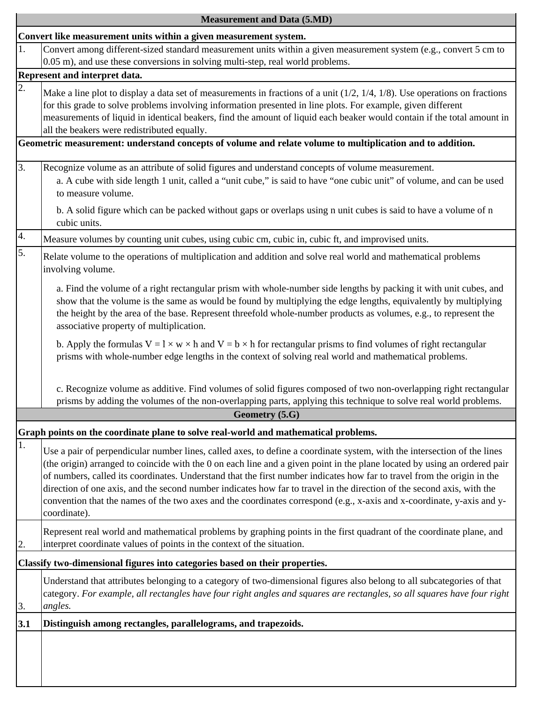|     | <b>Measurement and Data (5.MD)</b>                                                                                                                                                                                                                                                                                                                                                                                                                                                                                                                                                                                                                   |
|-----|------------------------------------------------------------------------------------------------------------------------------------------------------------------------------------------------------------------------------------------------------------------------------------------------------------------------------------------------------------------------------------------------------------------------------------------------------------------------------------------------------------------------------------------------------------------------------------------------------------------------------------------------------|
|     | Convert like measurement units within a given measurement system.                                                                                                                                                                                                                                                                                                                                                                                                                                                                                                                                                                                    |
| 1.  | Convert among different-sized standard measurement units within a given measurement system (e.g., convert 5 cm to<br>0.05 m), and use these conversions in solving multi-step, real world problems.                                                                                                                                                                                                                                                                                                                                                                                                                                                  |
|     | Represent and interpret data.                                                                                                                                                                                                                                                                                                                                                                                                                                                                                                                                                                                                                        |
| 2.  | Make a line plot to display a data set of measurements in fractions of a unit $(1/2, 1/4, 1/8)$ . Use operations on fractions<br>for this grade to solve problems involving information presented in line plots. For example, given different<br>measurements of liquid in identical beakers, find the amount of liquid each beaker would contain if the total amount in<br>all the beakers were redistributed equally.                                                                                                                                                                                                                              |
|     | Geometric measurement: understand concepts of volume and relate volume to multiplication and to addition.                                                                                                                                                                                                                                                                                                                                                                                                                                                                                                                                            |
| 3.  | Recognize volume as an attribute of solid figures and understand concepts of volume measurement.<br>a. A cube with side length 1 unit, called a "unit cube," is said to have "one cubic unit" of volume, and can be used<br>to measure volume.                                                                                                                                                                                                                                                                                                                                                                                                       |
|     | b. A solid figure which can be packed without gaps or overlaps using n unit cubes is said to have a volume of n<br>cubic units.                                                                                                                                                                                                                                                                                                                                                                                                                                                                                                                      |
| 4.  | Measure volumes by counting unit cubes, using cubic cm, cubic in, cubic ft, and improvised units.                                                                                                                                                                                                                                                                                                                                                                                                                                                                                                                                                    |
| 5.  | Relate volume to the operations of multiplication and addition and solve real world and mathematical problems<br>involving volume.                                                                                                                                                                                                                                                                                                                                                                                                                                                                                                                   |
|     | a. Find the volume of a right rectangular prism with whole-number side lengths by packing it with unit cubes, and<br>show that the volume is the same as would be found by multiplying the edge lengths, equivalently by multiplying<br>the height by the area of the base. Represent threefold whole-number products as volumes, e.g., to represent the<br>associative property of multiplication.                                                                                                                                                                                                                                                  |
|     | b. Apply the formulas $V = l \times w \times h$ and $V = b \times h$ for rectangular prisms to find volumes of right rectangular<br>prisms with whole-number edge lengths in the context of solving real world and mathematical problems.                                                                                                                                                                                                                                                                                                                                                                                                            |
|     | c. Recognize volume as additive. Find volumes of solid figures composed of two non-overlapping right rectangular<br>prisms by adding the volumes of the non-overlapping parts, applying this technique to solve real world problems.                                                                                                                                                                                                                                                                                                                                                                                                                 |
|     | Geometry (5.G)                                                                                                                                                                                                                                                                                                                                                                                                                                                                                                                                                                                                                                       |
|     | Graph points on the coordinate plane to solve real-world and mathematical problems.                                                                                                                                                                                                                                                                                                                                                                                                                                                                                                                                                                  |
| 1.  | Use a pair of perpendicular number lines, called axes, to define a coordinate system, with the intersection of the lines<br>(the origin) arranged to coincide with the 0 on each line and a given point in the plane located by using an ordered pair<br>of numbers, called its coordinates. Understand that the first number indicates how far to travel from the origin in the<br>direction of one axis, and the second number indicates how far to travel in the direction of the second axis, with the<br>convention that the names of the two axes and the coordinates correspond (e.g., x-axis and x-coordinate, y-axis and y-<br>coordinate). |
|     | Represent real world and mathematical problems by graphing points in the first quadrant of the coordinate plane, and<br>interpret coordinate values of points in the context of the situation.                                                                                                                                                                                                                                                                                                                                                                                                                                                       |
|     | Classify two-dimensional figures into categories based on their properties.                                                                                                                                                                                                                                                                                                                                                                                                                                                                                                                                                                          |
| 3.  | Understand that attributes belonging to a category of two-dimensional figures also belong to all subcategories of that<br>category. For example, all rectangles have four right angles and squares are rectangles, so all squares have four right<br>angles.                                                                                                                                                                                                                                                                                                                                                                                         |
| 3.1 | Distinguish among rectangles, parallelograms, and trapezoids.                                                                                                                                                                                                                                                                                                                                                                                                                                                                                                                                                                                        |
|     |                                                                                                                                                                                                                                                                                                                                                                                                                                                                                                                                                                                                                                                      |